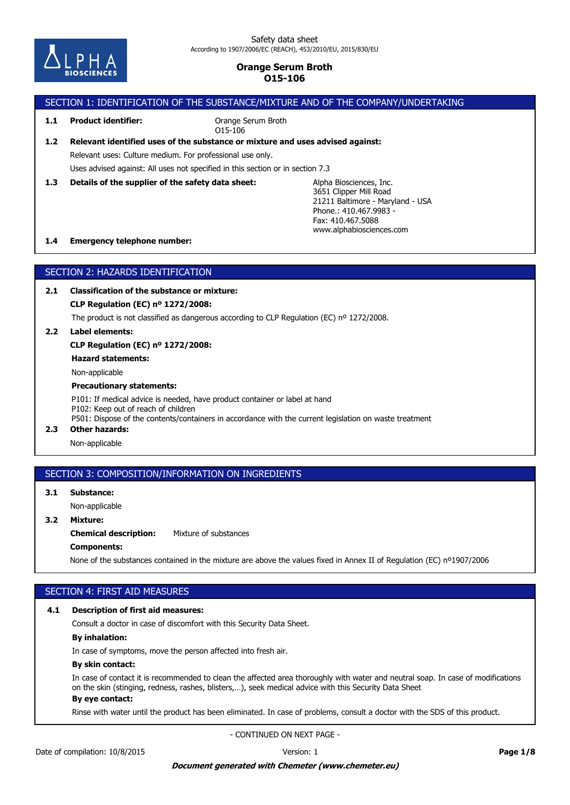

# SECTION 1: IDENTIFICATION OF THE SUBSTANCE/MIXTURE AND OF THE COMPANY/UNDERTAKING

**1.1 Product identifier:**

Orange Serum Broth O15-106

# Uses advised against: All uses not specified in this section or in section 7.3 Relevant uses: Culture medium. For professional use only. **1.2 Relevant identified uses of the substance or mixture and uses advised against:**

**1.3 Details of the supplier of the safety data sheet:**

Alpha Biosciences, Inc. 3651 Clipper Mill Road 21211 Baltimore - Maryland - USA Phone.: 410.467.9983-Fax: 410.467.5088 www.alphabiosciences.com

### **1.4 Emergency telephone number:**

# SECTION 2: HAZARDS IDENTIFICATION

**2.1 Classification of the substance or mixture:**

**CLP Regulation (EC) nº 1272/2008:**

The product is not classified as dangerous according to CLP Regulation (EC) nº 1272/2008.

**2.2 Label elements:**

**CLP Regulation (EC) nº 1272/2008:**

**Hazard statements:**

Non-applicable

### **Precautionary statements:**

P101: If medical advice is needed, have product container or label at hand P102: Keep out of reach of children P501: Dispose of the contents/containers in accordance with the current legislation on waste treatment

**2.3 Other hazards:**

Non-applicable

## SECTION 3: COMPOSITION/INFORMATION ON INGREDIENTS

**3.1 Substance:**

Non-applicable

# **3.2 Mixture:**

**Chemical description:** Mixture of substances

### **Components:**

None of the substances contained in the mixture are above the values fixed in Annex II of Regulation (EC) nº1907/2006

# SECTION 4: FIRST AID MEASURES

### **4.1 Description of first aid measures:**

Consult a doctor in case of discomfort with this Security Data Sheet.

## **By inhalation:**

In case of symptoms, move the person affected into fresh air.

### **By skin contact:**

In case of contact it is recommended to clean the affected area thoroughly with water and neutral soap. In case of modifications on the skin (stinging, redness, rashes, blisters,…), seek medical advice with this Security Data Sheet

# **By eye contact:**

Rinse with water until the product has been eliminated. In case of problems, consult a doctor with the SDS of this product.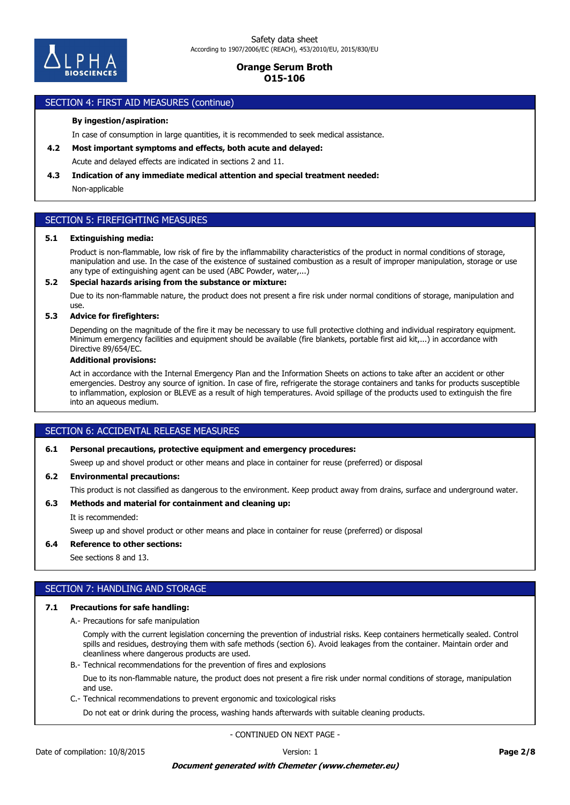

#### SECTION 4: FIRST AID MEASURES (continue)

#### **By ingestion/aspiration:**

In case of consumption in large quantities, it is recommended to seek medical assistance.

**4.2 Most important symptoms and effects, both acute and delayed:**

Acute and delayed effects are indicated in sections 2 and 11.

#### **4.3 Indication of any immediate medical attention and special treatment needed:**

Non-applicable

## SECTION 5: FIREFIGHTING MEASURES

#### **5.1 Extinguishing media:**

Product is non-flammable, low risk of fire by the inflammability characteristics of the product in normal conditions of storage, manipulation and use. In the case of the existence of sustained combustion as a result of improper manipulation, storage or use any type of extinguishing agent can be used (ABC Powder, water,...)

#### **5.2 Special hazards arising from the substance or mixture:**

Due to its non-flammable nature, the product does not present a fire risk under normal conditions of storage, manipulation and use.

### **5.3 Advice for firefighters:**

Depending on the magnitude of the fire it may be necessary to use full protective clothing and individual respiratory equipment. Minimum emergency facilities and equipment should be available (fire blankets, portable first aid kit,...) in accordance with Directive 89/654/EC.

#### **Additional provisions:**

Act in accordance with the Internal Emergency Plan and the Information Sheets on actions to take after an accident or other emergencies. Destroy any source of ignition. In case of fire, refrigerate the storage containers and tanks for products susceptible to inflammation, explosion or BLEVE as a result of high temperatures. Avoid spillage of the products used to extinguish the fire into an aqueous medium.

## SECTION 6: ACCIDENTAL RELEASE MEASURES

### **6.1 Personal precautions, protective equipment and emergency procedures:**

Sweep up and shovel product or other means and place in container for reuse (preferred) or disposal

#### **6.2 Environmental precautions:**

This product is not classified as dangerous to the environment. Keep product away from drains, surface and underground water.

### **6.3 Methods and material for containment and cleaning up:**

It is recommended:

Sweep up and shovel product or other means and place in container for reuse (preferred) or disposal

#### **6.4 Reference to other sections:**

See sections 8 and 13.

## SECTION 7: HANDLING AND STORAGE

#### **7.1 Precautions for safe handling:**

A.- Precautions for safe manipulation

Comply with the current legislation concerning the prevention of industrial risks. Keep containers hermetically sealed. Control spills and residues, destroying them with safe methods (section 6). Avoid leakages from the container. Maintain order and cleanliness where dangerous products are used.

B.- Technical recommendations for the prevention of fires and explosions

Due to its non-flammable nature, the product does not present a fire risk under normal conditions of storage, manipulation and use.

C.- Technical recommendations to prevent ergonomic and toxicological risks

Do not eat or drink during the process, washing hands afterwards with suitable cleaning products.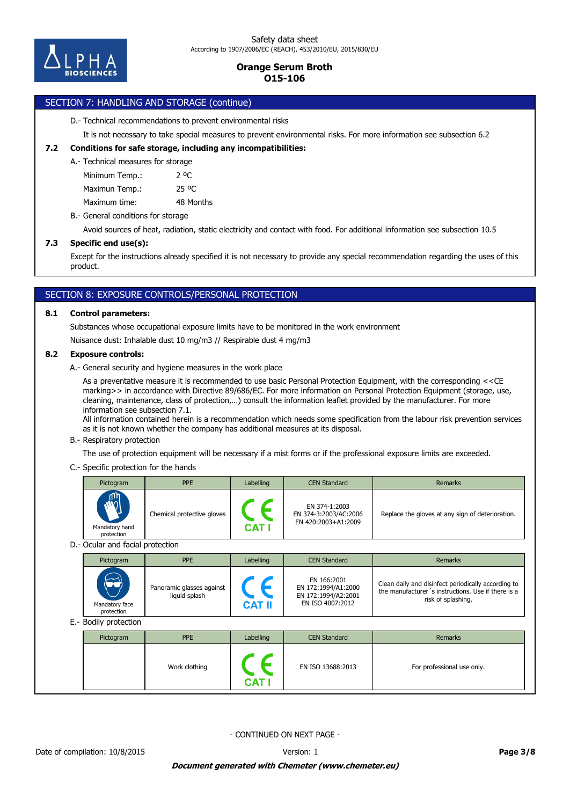

# SECTION 7: HANDLING AND STORAGE (continue)

D.- Technical recommendations to prevent environmental risks

It is not necessary to take special measures to prevent environmental risks. For more information see subsection 6.2

### **7.2 Conditions for safe storage, including any incompatibilities:**

#### A.- Technical measures for storage

Minimum Temp.: 2 °C

Maximun Temp.: 25 °C

Maximum time: 48 Months

B.- General conditions for storage

Avoid sources of heat, radiation, static electricity and contact with food. For additional information see subsection 10.5

### **7.3 Specific end use(s):**

Except for the instructions already specified it is not necessary to provide any special recommendation regarding the uses of this product.

# SECTION 8: EXPOSURE CONTROLS/PERSONAL PROTECTION

### **8.1 Control parameters:**

Substances whose occupational exposure limits have to be monitored in the work environment

Nuisance dust: Inhalable dust 10 mg/m3 // Respirable dust 4 mg/m3

### **8.2 Exposure controls:**

A.- General security and hygiene measures in the work place

As a preventative measure it is recommended to use basic Personal Protection Equipment, with the corresponding <<CE marking>> in accordance with Directive 89/686/EC. For more information on Personal Protection Equipment (storage, use, cleaning, maintenance, class of protection,…) consult the information leaflet provided by the manufacturer. For more information see subsection 7.1.

All information contained herein is a recommendation which needs some specification from the labour risk prevention services as it is not known whether the company has additional measures at its disposal.

#### B.- Respiratory protection

The use of protection equipment will be necessary if a mist forms or if the professional exposure limits are exceeded.

### C.- Specific protection for the hands

|                                  | Pictogram                    | <b>PPE</b>                                 | Labelling                   | <b>CEN Standard</b>                                                           | Remarks                                                                                                                         |  |
|----------------------------------|------------------------------|--------------------------------------------|-----------------------------|-------------------------------------------------------------------------------|---------------------------------------------------------------------------------------------------------------------------------|--|
|                                  | Mandatory hand<br>protection | Chemical protective gloves                 | $\epsilon$<br><b>CAT I</b>  | EN 374-1:2003<br>EN 374-3:2003/AC:2006<br>EN 420:2003+A1:2009                 | Replace the gloves at any sign of deterioration.                                                                                |  |
| D.- Ocular and facial protection |                              |                                            |                             |                                                                               |                                                                                                                                 |  |
|                                  | Pictogram                    | <b>PPE</b>                                 | Labelling                   | <b>CEN Standard</b>                                                           | Remarks                                                                                                                         |  |
|                                  | Mandatory face<br>protection | Panoramic glasses against<br>liquid splash | $\epsilon$<br><b>CAT II</b> | EN 166:2001<br>EN 172:1994/A1:2000<br>EN 172:1994/A2:2001<br>EN ISO 4007:2012 | Clean daily and disinfect periodically according to<br>the manufacturer's instructions. Use if there is a<br>risk of splashing. |  |
|                                  | E.- Bodily protection        |                                            |                             |                                                                               |                                                                                                                                 |  |
|                                  | Pictogram                    | <b>PPE</b>                                 | Labelling                   | <b>CEN Standard</b>                                                           | <b>Remarks</b>                                                                                                                  |  |
|                                  |                              | Work clothing                              |                             | EN ISO 13688:2013                                                             | For professional use only.                                                                                                      |  |

- CONTINUED ON NEXT PAGE -

**CAT I**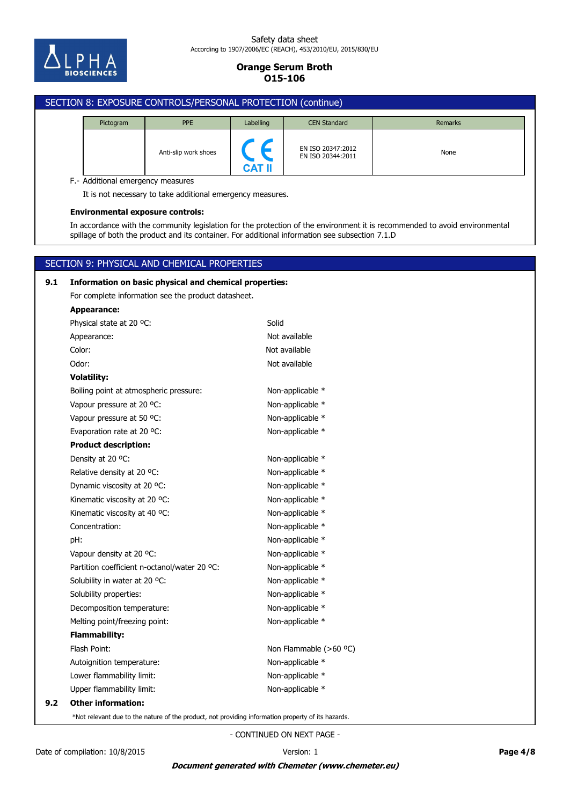

#### Safety data sheet According to 1907/2006/EC (REACH), 453/2010/EU, 2015/830/EU

# **Orange Serum Broth O15-106**

# SECTION 8: EXPOSURE CONTROLS/PERSONAL PROTECTION (continue) Pictogram PPE 2012 Labelling CEN Standard Number 2014 Remarks EN ISO 20347:2012<br>EN ISO 20244:2011 Anti-slip work shoes<br>EN ISO 20344:2011 **CAT II** F.- Additional emergency measures It is not necessary to take additional emergency measures. **Environmental exposure controls:** In accordance with the community legislation for the protection of the environment it is recommended to avoid environmental spillage of both the product and its container. For additional information see subsection 7.1.D SECTION 9: PHYSICAL AND CHEMICAL PROPERTIES **9.1 Information on basic physical and chemical properties:** For complete information see the product datasheet. **Appearance:** Physical state at 20 °C: Solid Appearance: Not available Color: Not available

| Odor:                                                                                                | Not available          |
|------------------------------------------------------------------------------------------------------|------------------------|
| <b>Volatility:</b>                                                                                   |                        |
| Boiling point at atmospheric pressure:                                                               | Non-applicable *       |
| Vapour pressure at 20 °C:                                                                            | Non-applicable *       |
| Vapour pressure at 50 °C:                                                                            | Non-applicable *       |
| Evaporation rate at 20 °C:                                                                           | Non-applicable *       |
| <b>Product description:</b>                                                                          |                        |
| Density at 20 °C:                                                                                    | Non-applicable *       |
| Relative density at 20 °C:                                                                           | Non-applicable *       |
| Dynamic viscosity at 20 °C:                                                                          | Non-applicable *       |
| Kinematic viscosity at 20 °C:                                                                        | Non-applicable *       |
| Kinematic viscosity at 40 °C:                                                                        | Non-applicable *       |
| Concentration:                                                                                       | Non-applicable *       |
| pH:                                                                                                  | Non-applicable *       |
| Vapour density at 20 °C:                                                                             | Non-applicable *       |
| Partition coefficient n-octanol/water 20 °C:                                                         | Non-applicable *       |
| Solubility in water at 20 °C:                                                                        | Non-applicable *       |
| Solubility properties:                                                                               | Non-applicable *       |
| Decomposition temperature:                                                                           | Non-applicable *       |
| Melting point/freezing point:                                                                        | Non-applicable *       |
| <b>Flammability:</b>                                                                                 |                        |
| Flash Point:                                                                                         | Non Flammable (>60 °C) |
| Autoignition temperature:                                                                            | Non-applicable *       |
| Lower flammability limit:                                                                            | Non-applicable *       |
| Upper flammability limit:                                                                            | Non-applicable *       |
| <b>Other information:</b>                                                                            |                        |
| alice de dies medicine of these minutes made minutes taltum tuferingenten minutes end effective hand |                        |

\*Not relevant due to the nature of the product, not providing information property of its hazards.

- CONTINUED ON NEXT PAGE -

**9.2 Other information:**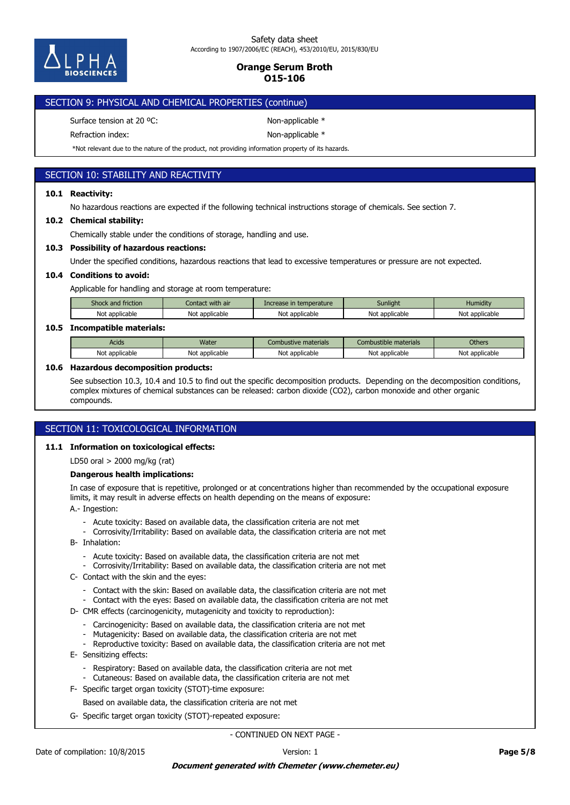

# SECTION 9: PHYSICAL AND CHEMICAL PROPERTIES (continue)

Surface tension at 20 °C: Non-applicable \*

Refraction index: Non-applicable \*

\*Not relevant due to the nature of the product, not providing information property of its hazards.

# SECTION 10: STABILITY AND REACTIVITY

### **10.1 Reactivity:**

No hazardous reactions are expected if the following technical instructions storage of chemicals. See section 7.

### **10.2 Chemical stability:**

Chemically stable under the conditions of storage, handling and use.

### **10.3 Possibility of hazardous reactions:**

Under the specified conditions, hazardous reactions that lead to excessive temperatures or pressure are not expected.

### **10.4 Conditions to avoid:**

Applicable for handling and storage at room temperature:

| Shock and friction . | Contact with air | Increase in temperature | Sunlight       | Humiditv       |
|----------------------|------------------|-------------------------|----------------|----------------|
| Not applicable       | Not applicable   | Not<br>: applicable     | Not applicable | Not applicable |

### **10.5 Incompatible materials:**

| Acids                                       | Water             | e materials<br><b>Combustive</b>          | : materials<br>Combustible           | <b>Others</b>  |
|---------------------------------------------|-------------------|-------------------------------------------|--------------------------------------|----------------|
| <b>Not</b><br><sup>.</sup> applicable<br>νv | applicable<br>Not | اطا<br>: annlicable<br>applicable<br>ושטו | ∼י<br>applicable <sup>.</sup><br>טוי | Not applicable |

### **10.6 Hazardous decomposition products:**

See subsection 10.3, 10.4 and 10.5 to find out the specific decomposition products. Depending on the decomposition conditions, complex mixtures of chemical substances can be released: carbon dioxide (CO2), carbon monoxide and other organic compounds.

## SECTION 11: TOXICOLOGICAL INFORMATION

### **11.1 Information on toxicological effects:**

LD50 oral > 2000 mg/kg (rat)

### **Dangerous health implications:**

In case of exposure that is repetitive, prolonged or at concentrations higher than recommended by the occupational exposure limits, it may result in adverse effects on health depending on the means of exposure:

A.- Ingestion:

- Acute toxicity: Based on available data, the classification criteria are not met
- Corrosivity/Irritability: Based on available data, the classification criteria are not met
- B- Inhalation:
	- Acute toxicity: Based on available data, the classification criteria are not met
	- Corrosivity/Irritability: Based on available data, the classification criteria are not met
- C- Contact with the skin and the eyes:
	- Contact with the skin: Based on available data, the classification criteria are not met
	- Contact with the eyes: Based on available data, the classification criteria are not met
- D- CMR effects (carcinogenicity, mutagenicity and toxicity to reproduction):
	- Carcinogenicity: Based on available data, the classification criteria are not met
	- Mutagenicity: Based on available data, the classification criteria are not met
	- Reproductive toxicity: Based on available data, the classification criteria are not met
- E- Sensitizing effects:
	- Respiratory: Based on available data, the classification criteria are not met
	- Cutaneous: Based on available data, the classification criteria are not met
- F- Specific target organ toxicity (STOT)-time exposure:
	- Based on available data, the classification criteria are not met
- G- Specific target organ toxicity (STOT)-repeated exposure: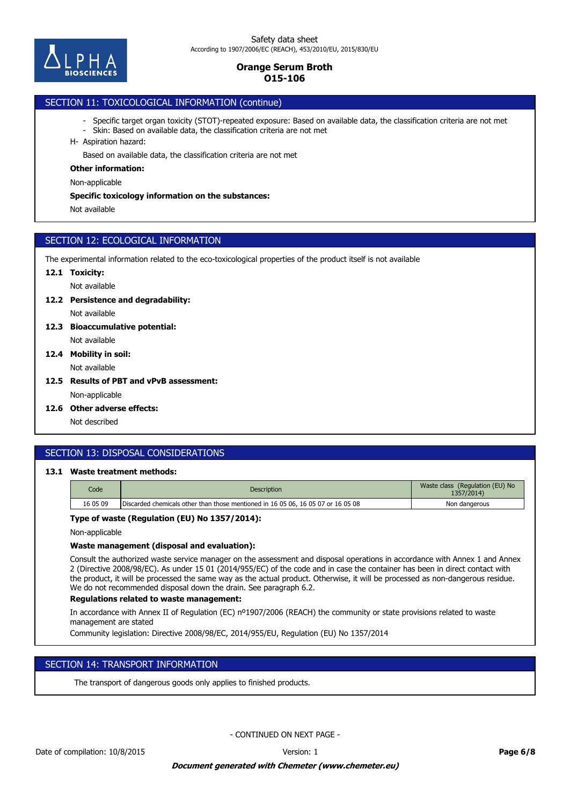

# SECTION 11: TOXICOLOGICAL INFORMATION (continue)

- Specific target organ toxicity (STOT)-repeated exposure: Based on available data, the classification criteria are not met
- Skin: Based on available data, the classification criteria are not met
- H- Aspiration hazard:

Based on available data, the classification criteria are not met

#### **Other information:**

Non-applicable

#### **Specific toxicology information on the substances:**

Not available

## SECTION 12: ECOLOGICAL INFORMATION

The experimental information related to the eco-toxicological properties of the product itself is not available

#### **12.1 Toxicity:**

Not available

#### **12.2 Persistence and degradability:**

Not available

- Not available **12.3 Bioaccumulative potential:**
- Not available **12.4 Mobility in soil:**
- **12.5 Results of PBT and vPvB assessment:**

Non-applicable

**12.6 Other adverse effects:**

Not described

## SECTION 13: DISPOSAL CONSIDERATIONS

# **13.1 Waste treatment methods:**

| Code     | <b>Description</b>                                                               | Waste class (Regulation (EU) No<br>1357/2014) |
|----------|----------------------------------------------------------------------------------|-----------------------------------------------|
| 16 05 09 | Discarded chemicals other than those mentioned in 16 05 06, 16 05 07 or 16 05 08 | Non dangerous                                 |

### **Type of waste (Regulation (EU) No 1357/2014):**

Non-applicable

### **Waste management (disposal and evaluation):**

Consult the authorized waste service manager on the assessment and disposal operations in accordance with Annex 1 and Annex 2 (Directive 2008/98/EC). As under 15 01 (2014/955/EC) of the code and in case the container has been in direct contact with the product, it will be processed the same way as the actual product. Otherwise, it will be processed as non-dangerous residue. We do not recommended disposal down the drain. See paragraph 6.2.

### **Regulations related to waste management:**

In accordance with Annex II of Regulation (EC) nº1907/2006 (REACH) the community or state provisions related to waste management are stated

Community legislation: Directive 2008/98/EC, 2014/955/EU, Regulation (EU) No 1357/2014

## SECTION 14: TRANSPORT INFORMATION

The transport of dangerous goods only applies to finished products.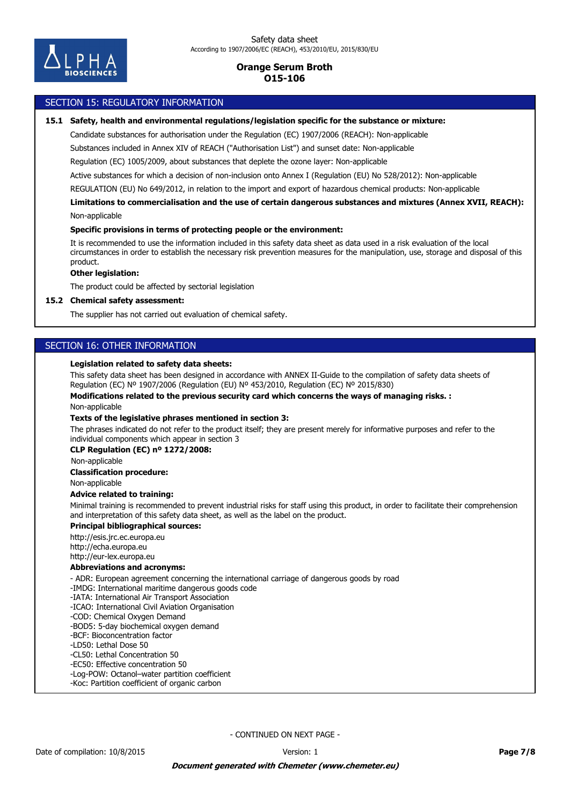

### SECTION 15: REGULATORY INFORMATION

#### **15.1 Safety, health and environmental regulations/legislation specific for the substance or mixture:**

Candidate substances for authorisation under the Regulation (EC) 1907/2006 (REACH): Non-applicable

Substances included in Annex XIV of REACH ("Authorisation List") and sunset date: Non-applicable

Regulation (EC) 1005/2009, about substances that deplete the ozone layer: Non-applicable

Active substances for which a decision of non-inclusion onto Annex I (Regulation (EU) No 528/2012): Non-applicable

REGULATION (EU) No 649/2012, in relation to the import and export of hazardous chemical products: Non-applicable

Non-applicable **Limitations to commercialisation and the use of certain dangerous substances and mixtures (Annex XVII, REACH):**

#### **Specific provisions in terms of protecting people or the environment:**

It is recommended to use the information included in this safety data sheet as data used in a risk evaluation of the local circumstances in order to establish the necessary risk prevention measures for the manipulation, use, storage and disposal of this product.

### **Other legislation:**

The product could be affected by sectorial legislation

#### **15.2 Chemical safety assessment:**

The supplier has not carried out evaluation of chemical safety.

### SECTION 16: OTHER INFORMATION

#### **Legislation related to safety data sheets:**

This safety data sheet has been designed in accordance with ANNEX II-Guide to the compilation of safety data sheets of Regulation (EC) Nº 1907/2006 (Regulation (EU) Nº 453/2010, Regulation (EC) Nº 2015/830)

**Modifications related to the previous security card which concerns the ways of managing risks. :**

Non-applicable

#### **Texts of the legislative phrases mentioned in section 3:**

The phrases indicated do not refer to the product itself; they are present merely for informative purposes and refer to the individual components which appear in section 3

#### **CLP Regulation (EC) nº 1272/2008:**

Non-applicable

#### **Classification procedure:**

Non-applicable

### **Advice related to training:**

Minimal training is recommended to prevent industrial risks for staff using this product, in order to facilitate their comprehension and interpretation of this safety data sheet, as well as the label on the product.

### **Principal bibliographical sources:**

http://esis.jrc.ec.europa.eu http://echa.europa.eu http://eur-lex.europa.eu

### **Abbreviations and acronyms:**

- ADR: European agreement concerning the international carriage of dangerous goods by road

- -IMDG: International maritime dangerous goods code
- -IATA: International Air Transport Association
- -ICAO: International Civil Aviation Organisation
- -COD: Chemical Oxygen Demand
- -BOD5: 5-day biochemical oxygen demand
- -BCF: Bioconcentration factor
- -LD50: Lethal Dose 50
- -CL50: Lethal Concentration 50
- -EC50: Effective concentration 50 -Log-POW: Octanol–water partition coefficient
- -Koc: Partition coefficient of organic carbon
-